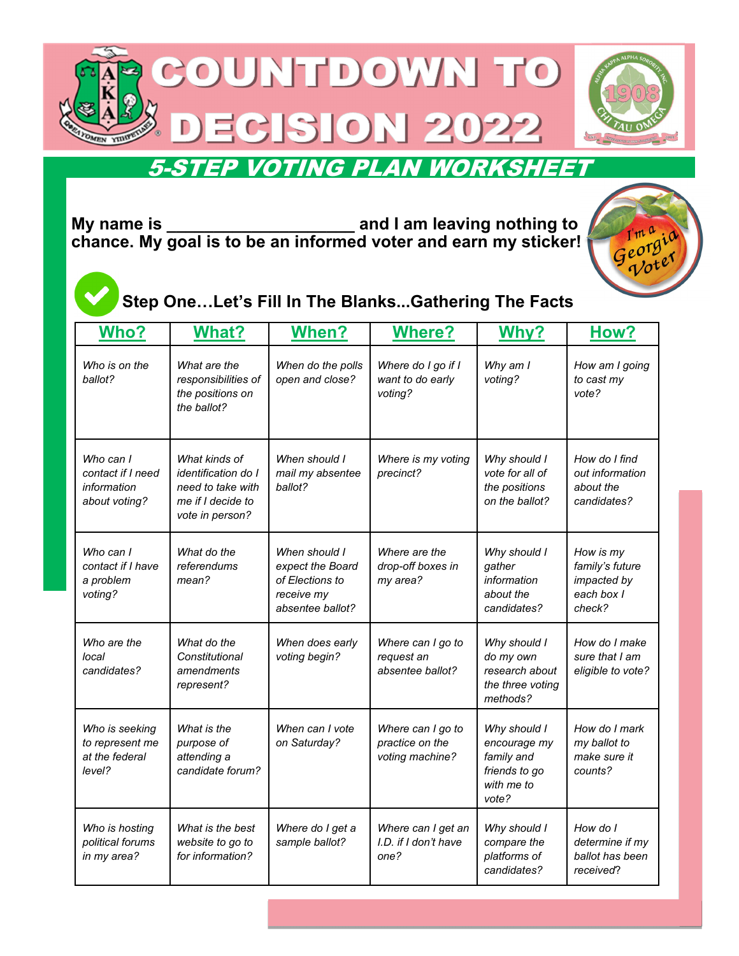



## 5-STEP VOTING PLAN WORKSHEET

**My name is \_\_\_\_\_\_\_\_\_\_\_\_\_\_\_\_\_\_\_\_ and I am leaving nothing to chance. My goal is to be an informed voter and earn my sticker!** 



### **Step One…Let's Fill In The Blanks...Gathering The Facts**

| <b>Who?</b>                                                    | <b>What?</b>                                                                                             | When?                                                                                  | <b>Where?</b>                                           | Why?                                                                               | How?                                                                |
|----------------------------------------------------------------|----------------------------------------------------------------------------------------------------------|----------------------------------------------------------------------------------------|---------------------------------------------------------|------------------------------------------------------------------------------------|---------------------------------------------------------------------|
| Who is on the<br>ballot?                                       | What are the<br>responsibilities of<br>the positions on<br>the ballot?                                   | When do the polls<br>open and close?                                                   | Where do I go if I<br>want to do early<br>voting?       | Why am I<br>voting?                                                                | How am I going<br>to cast my<br>vote?                               |
| Who can I<br>contact if I need<br>information<br>about voting? | What kinds of<br><i>identification do I</i><br>need to take with<br>me if I decide to<br>vote in person? | When should I<br>mail my absentee<br>ballot?                                           | Where is my voting<br>precinct?                         | Why should I<br>vote for all of<br>the positions<br>on the ballot?                 | How do I find<br>out information<br>about the<br>candidates?        |
| Who can I<br>contact if I have<br>a problem<br>voting?         | What do the<br>referendums<br>mean?                                                                      | When should I<br>expect the Board<br>of Elections to<br>receive my<br>absentee ballot? | Where are the<br>drop-off boxes in<br>my area?          | Why should I<br>gather<br>information<br>about the<br>candidates?                  | How is my<br>family's future<br>impacted by<br>each box I<br>check? |
| Who are the<br>local<br>candidates?                            | What do the<br>Constitutional<br>amendments<br>represent?                                                | When does early<br>voting begin?                                                       | Where can I go to<br>request an<br>absentee ballot?     | Why should I<br>do my own<br>research about<br>the three voting<br>methods?        | How do I make<br>sure that I am<br>eligible to vote?                |
| Who is seeking<br>to represent me<br>at the federal<br>level?  | What is the<br>purpose of<br>attending a<br>candidate forum?                                             | When can I vote<br>on Saturday?                                                        | Where can I go to<br>practice on the<br>voting machine? | Why should I<br>encourage my<br>family and<br>friends to go<br>with me to<br>vote? | How do I mark<br>my ballot to<br>make sure it<br>counts?            |
| Who is hosting<br>political forums<br>in my area?              | What is the best<br>website to go to<br>for information?                                                 | Where do I get a<br>sample ballot?                                                     | Where can I get an<br>I.D. if I don't have<br>one?      | Why should I<br>compare the<br>platforms of<br>candidates?                         | How do I<br>determine if my<br>ballot has been<br>received?         |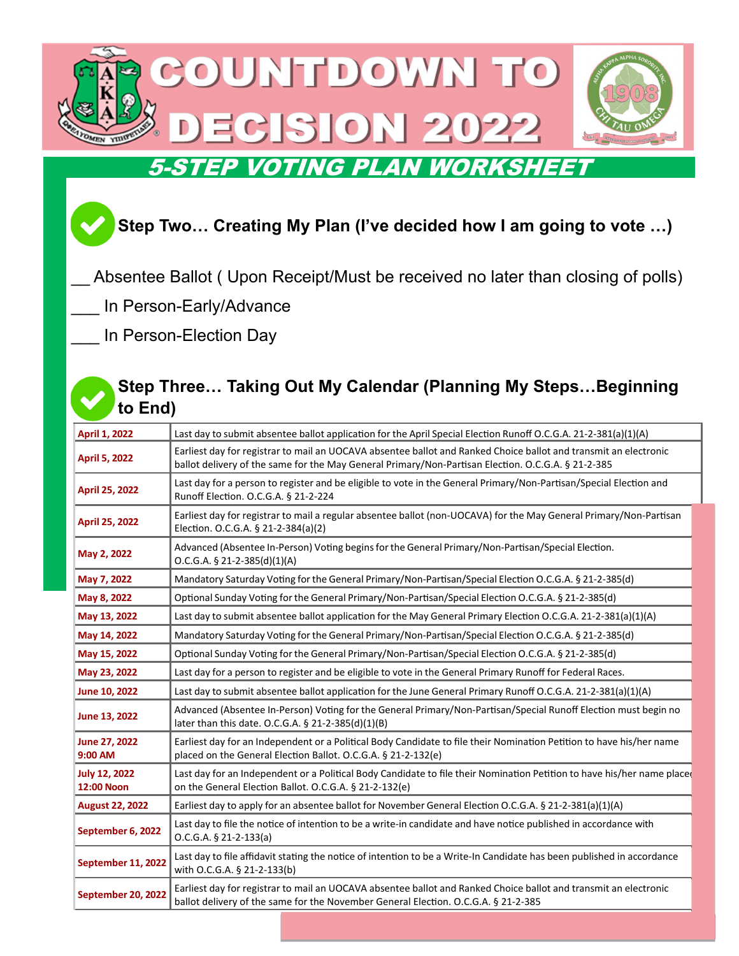

# **Step Two… Creating My Plan (I've decided how I am going to vote …)**

- Absentee Ballot ( Upon Receipt/Must be received no later than closing of polls)
- In Person-Early/Advance
- In Person-Election Day

#### **Step Three… Taking Out My Calendar (Planning My Steps…Beginning to End)**

| <b>April 1, 2022</b>                      | Last day to submit absentee ballot application for the April Special Election Runoff O.C.G.A. 21-2-381(a)(1)(A)                                                                                                        |  |  |  |  |
|-------------------------------------------|------------------------------------------------------------------------------------------------------------------------------------------------------------------------------------------------------------------------|--|--|--|--|
| <b>April 5, 2022</b>                      | Earliest day for registrar to mail an UOCAVA absentee ballot and Ranked Choice ballot and transmit an electronic<br>ballot delivery of the same for the May General Primary/Non-Partisan Election. O.C.G.A. § 21-2-385 |  |  |  |  |
| <b>April 25, 2022</b>                     | Last day for a person to register and be eligible to vote in the General Primary/Non-Partisan/Special Election and<br>Runoff Election. O.C.G.A. § 21-2-224                                                             |  |  |  |  |
| April 25, 2022                            | Earliest day for registrar to mail a regular absentee ballot (non-UOCAVA) for the May General Primary/Non-Partisan<br>Election. O.C.G.A. § 21-2-384(a)(2)                                                              |  |  |  |  |
| May 2, 2022                               | Advanced (Absentee In-Person) Voting begins for the General Primary/Non-Partisan/Special Election.<br>$O.C.G.A. § 21-2-385(d)(1)(A)$                                                                                   |  |  |  |  |
| May 7, 2022                               | Mandatory Saturday Voting for the General Primary/Non-Partisan/Special Election O.C.G.A. § 21-2-385(d)                                                                                                                 |  |  |  |  |
| May 8, 2022                               | Optional Sunday Voting for the General Primary/Non-Partisan/Special Election O.C.G.A. § 21-2-385(d)                                                                                                                    |  |  |  |  |
| May 13, 2022                              | Last day to submit absentee ballot application for the May General Primary Election O.C.G.A. 21-2-381(a)(1)(A)                                                                                                         |  |  |  |  |
| May 14, 2022                              | Mandatory Saturday Voting for the General Primary/Non-Partisan/Special Election O.C.G.A. § 21-2-385(d)                                                                                                                 |  |  |  |  |
| May 15, 2022                              | Optional Sunday Voting for the General Primary/Non-Partisan/Special Election O.C.G.A. § 21-2-385(d)                                                                                                                    |  |  |  |  |
| May 23, 2022                              | Last day for a person to register and be eligible to vote in the General Primary Runoff for Federal Races.                                                                                                             |  |  |  |  |
| June 10, 2022                             | Last day to submit absentee ballot application for the June General Primary Runoff O.C.G.A. 21-2-381(a)(1)(A)                                                                                                          |  |  |  |  |
| June 13, 2022                             | Advanced (Absentee In-Person) Voting for the General Primary/Non-Partisan/Special Runoff Election must begin no<br>later than this date. O.C.G.A. § 21-2-385(d)(1)(B)                                                  |  |  |  |  |
| June 27, 2022<br>9:00 AM                  | Earliest day for an Independent or a Political Body Candidate to file their Nomination Petition to have his/her name<br>placed on the General Election Ballot. O.C.G.A. § 21-2-132(e)                                  |  |  |  |  |
| <b>July 12, 2022</b><br><b>12:00 Noon</b> | Last day for an Independent or a Political Body Candidate to file their Nomination Petition to have his/her name placed<br>on the General Election Ballot. O.C.G.A. § 21-2-132(e)                                      |  |  |  |  |
| <b>August 22, 2022</b>                    | Earliest day to apply for an absentee ballot for November General Election O.C.G.A. § 21-2-381(a)(1)(A)                                                                                                                |  |  |  |  |
| September 6, 2022                         | Last day to file the notice of intention to be a write-in candidate and have notice published in accordance with<br>$O.C.G.A. § 21-2-133(a)$                                                                           |  |  |  |  |
| September 11, 2022                        | Last day to file affidavit stating the notice of intention to be a Write-In Candidate has been published in accordance<br>with O.C.G.A. § 21-2-133(b)                                                                  |  |  |  |  |
| September 20, 2022                        | Earliest day for registrar to mail an UOCAVA absentee ballot and Ranked Choice ballot and transmit an electronic<br>ballot delivery of the same for the November General Election. O.C.G.A. § 21-2-385                 |  |  |  |  |

**October 10, 2022** Earliest day for registrar to mail <sup>a</sup> regular absentee ballot (non‐UOCAVA) for the November General ElecƟon.

O.C.G.A. § 21‐2‐384(a)(2)